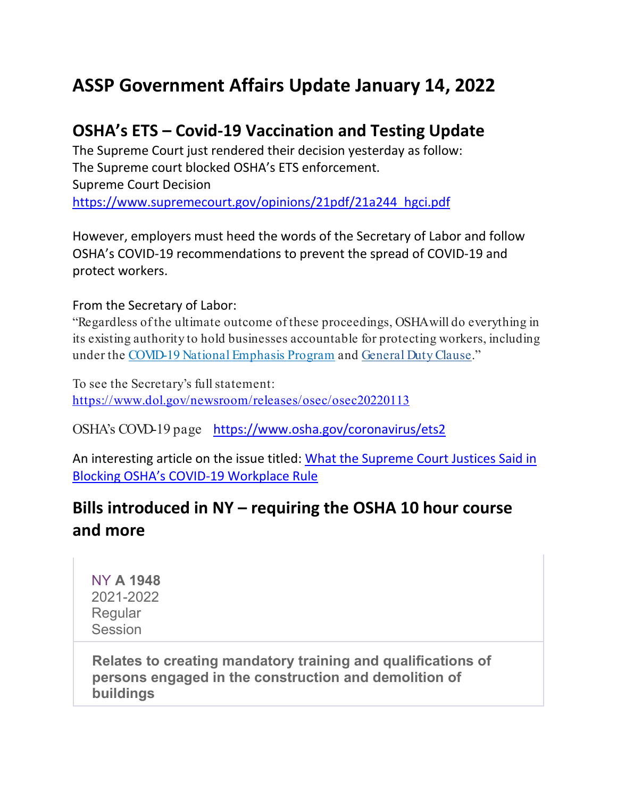# **ASSP Government Affairs Update January 14, 2022**

### **OSHA's ETS – Covid-19 Vaccination and Testing Update**

The Supreme Court just rendered their decision yesterday as follow: The Supreme court blocked OSHA's ETS enforcement. Supreme Court Decision [https://www.supremecourt.gov/opinions/21pdf/21a244\\_hgci.pdf](https://www.supremecourt.gov/opinions/21pdf/21a244_hgci.pdf)

However, employers must heed the words of the Secretary of Labor and follow OSHA's COVID-19 recommendations to prevent the spread of COVID-19 and protect workers.

#### From the Secretary of Labor:

"Regardless of the ultimate outcome of these proceedings, OSHA will do everything in its existing authority to hold businesses accountable for protecting workers, including under the [COVID-19 National Emphasis Program](https://www.osha.gov/sites/default/files/enforcement/directives/DIR_2021-03_CPL_03.pdf) and [General Duty Clause.](https://www.osha.gov/laws-regs/oshact/section5-duties)"

To see the Secretary's full statement: <https://www.dol.gov/newsroom/releases/osec/osec20220113>

OSHA's COVD-19 page <https://www.osha.gov/coronavirus/ets2>

An interesting article on the issue titled: [What the Supreme Court Justices Said in](https://www.insurancejournal.com/news/national/2022/01/14/649514.htm)  [Blocking OSHA's COVID-19 Workplace Rule](https://www.insurancejournal.com/news/national/2022/01/14/649514.htm)

## **Bills introduced in NY – requiring the OSHA 10 hour course and more**

NY **[A 1948](https://app.fiscalnote.com/#/bills/11886206?s_ref_type=Discovery%20Alert&s_email_subject=114%20bills%20in%20your%20Discovery%20Alert%20%20Daily%20Digest&s_item_type=Legislation&s_ref=email&s_link_text=A%201948)** 2021-2022 Regular **Session** 

**Relates to creating mandatory training and qualifications of persons engaged in the construction and demolition of buildings**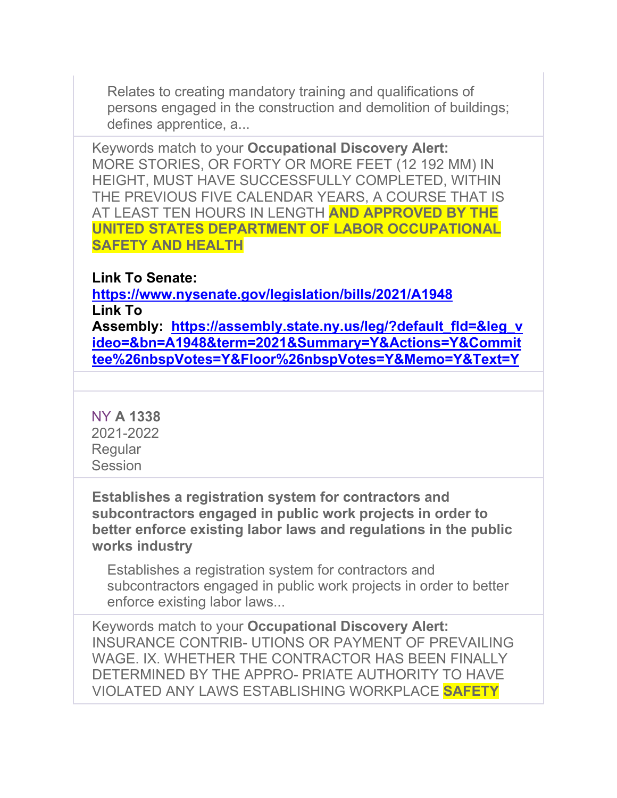Relates to creating mandatory training and qualifications of persons engaged in the construction and demolition of buildings; defines apprentice, a...

Keywords match to your **Occupational Discovery Alert:** MORE STORIES, OR FORTY OR MORE FEET (12 192 MM) IN HEIGHT, MUST HAVE SUCCESSFULLY COMPLETED, WITHIN THE PREVIOUS FIVE CALENDAR YEARS, A COURSE THAT IS AT LEAST TEN HOURS IN LENGTH **AND APPROVED BY THE UNITED STATES DEPARTMENT OF LABOR OCCUPATIONAL SAFETY AND HEALTH**

### **Link To Senate:**

**<https://www.nysenate.gov/legislation/bills/2021/A1948> Link To** 

**Assembly: [https://assembly.state.ny.us/leg/?default\\_fld=&leg\\_v](https://assembly.state.ny.us/leg/?default_fld=&leg_video=&bn=A1948&term=2021&Summary=Y&Actions=Y&Committee%26nbspVotes=Y&Floor%26nbspVotes=Y&Memo=Y&Text=Y) [ideo=&bn=A1948&term=2021&Summary=Y&Actions=Y&Commit](https://assembly.state.ny.us/leg/?default_fld=&leg_video=&bn=A1948&term=2021&Summary=Y&Actions=Y&Committee%26nbspVotes=Y&Floor%26nbspVotes=Y&Memo=Y&Text=Y) [tee%26nbspVotes=Y&Floor%26nbspVotes=Y&Memo=Y&Text=Y](https://assembly.state.ny.us/leg/?default_fld=&leg_video=&bn=A1948&term=2021&Summary=Y&Actions=Y&Committee%26nbspVotes=Y&Floor%26nbspVotes=Y&Memo=Y&Text=Y)**

NY **[A 1338](https://app.fiscalnote.com/#/bills/11879421?s_ref_type=Discovery%20Alert&s_email_subject=114%20bills%20in%20your%20Discovery%20Alert%20%20Daily%20Digest&s_item_type=Legislation&s_ref=email&s_link_text=A%201338)** 2021-2022 Regular **Session** 

**Establishes a registration system for contractors and subcontractors engaged in public work projects in order to better enforce existing labor laws and regulations in the public works industry** 

Establishes a registration system for contractors and subcontractors engaged in public work projects in order to better enforce existing labor laws...

Keywords match to your **Occupational Discovery Alert:** INSURANCE CONTRIB- UTIONS OR PAYMENT OF PREVAILING WAGE. IX. WHETHER THE CONTRACTOR HAS BEEN FINALLY DETERMINED BY THE APPRO- PRIATE AUTHORITY TO HAVE VIOLATED ANY LAWS ESTABLISHING WORKPLACE **SAFETY**